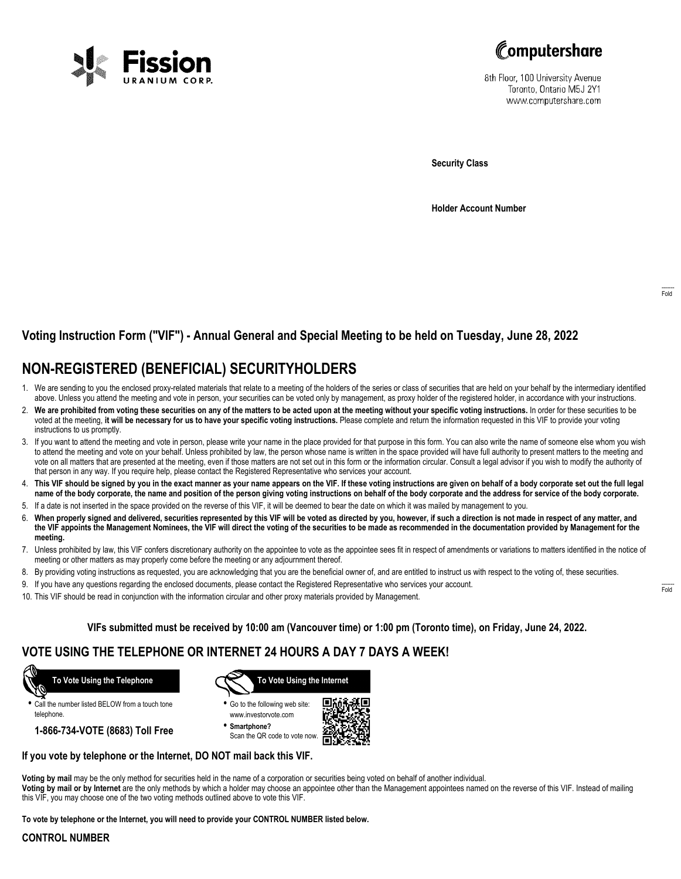



8th Floor, 100 University Avenue Toronto, Ontario M5J 2Y1 www.computershare.com

**Security Class**

**Holder Account Number**

## **Voting Instruction Form ("VIF") - Annual General and Special Meeting to be held on Tuesday, June 28, 2022**

## **NON-REGISTERED (BENEFICIAL) SECURITYHOLDERS**

- 1. We are sending to you the enclosed proxy-related materials that relate to a meeting of the holders of the series or class of securities that are held on your behalf by the intermediary identified above. Unless you attend the meeting and vote in person, your securities can be voted only by management, as proxy holder of the registered holder, in accordance with your instructions.
- 2. **We are prohibited from voting these securities on any of the matters to be acted upon at the meeting without your specific voting instructions.** In order for these securities to be voted at the meeting, **it will be necessary for us to have your specific voting instructions.** Please complete and return the information requested in this VIF to provide your voting instructions to us promptly.
- 3. If you want to attend the meeting and vote in person, please write your name in the place provided for that purpose in this form. You can also write the name of someone else whom you wish to attend the meeting and vote on your behalf. Unless prohibited by law, the person whose name is written in the space provided will have full authority to present matters to the meeting and vote on all matters that are presented at the meeting, even if those matters are not set out in this form or the information circular. Consult a legal advisor if you wish to modify the authority of that person in any way. If you require help, please contact the Registered Representative who services your account.
- 4. **This VIF should be signed by you in the exact manner as your name appears on the VIF. If these voting instructions are given on behalf of a body corporate set out the full legal name of the body corporate, the name and position of the person giving voting instructions on behalf of the body corporate and the address for service of the body corporate.**
- 5. If a date is not inserted in the space provided on the reverse of this VIF, it will be deemed to bear the date on which it was mailed by management to you.
- 6. **When properly signed and delivered, securities represented by this VIF will be voted as directed by you, however, if such a direction is not made in respect of any matter, and the VIF appoints the Management Nominees, the VIF will direct the voting of the securities to be made as recommended in the documentation provided by Management for the meeting.**
- 7. Unless prohibited by law, this VIF confers discretionary authority on the appointee to vote as the appointee sees fit in respect of amendments or variations to matters identified in the notice of meeting or other matters as may properly come before the meeting or any adjournment thereof.
- 8. By providing voting instructions as requested, you are acknowledging that you are the beneficial owner of, and are entitled to instruct us with respect to the voting of, these securities.
- 9. If you have any questions regarding the enclosed documents, please contact the Registered Representative who services your account.
- 10. This VIF should be read in conjunction with the information circular and other proxy materials provided by Management.

**VIFs submitted must be received by 10:00 am (Vancouver time) or 1:00 pm (Toronto time), on Friday, June 24, 2022.**

### **VOTE USING THE TELEPHONE OR INTERNET 24 HOURS A DAY 7 DAYS A WEEK!**



**•** Call the number listed BELOW from a touch tone telephone.

**1-866-734-VOTE (8683) Toll Free**



- **•** Go to the following web site: www.investorvote.com
- **• Smartphone?** Scan the QR code to vote now.



#### **If you vote by telephone or the Internet, DO NOT mail back this VIF.**

**Voting by mail** may be the only method for securities held in the name of a corporation or securities being voted on behalf of another individual.

**Voting by mail or by Internet** are the only methods by which a holder may choose an appointee other than the Management appointees named on the reverse of this VIF. Instead of mailing this VIF, you may choose one of the two voting methods outlined above to vote this VIF.

**To vote by telephone or the Internet, you will need to provide your CONTROL NUMBER listed below.**

#### **CONTROL NUMBER**